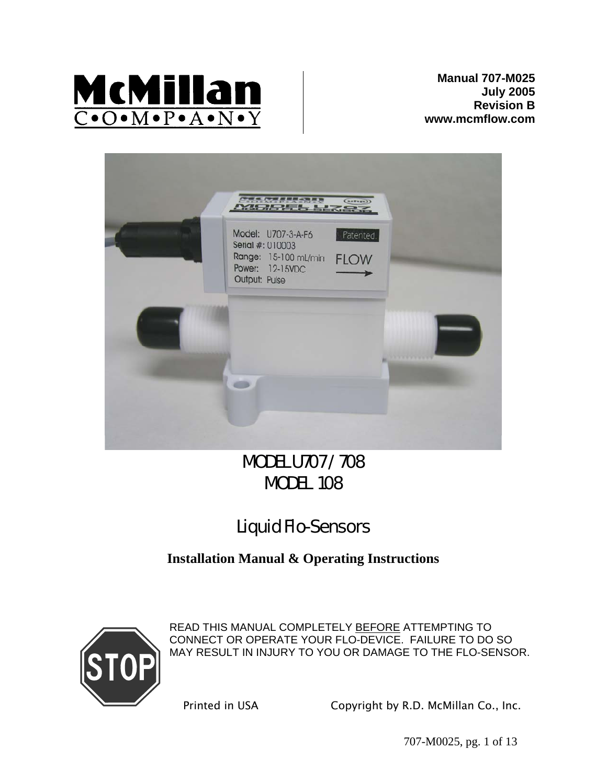

**Manual 707-M025 July 2005 Revision B www.mcmflow.com**



# MODEL U707 / 708 MODEL 108

# Liquid Flo-Sensors

# **Installation Manual & Operating Instructions**



READ THIS MANUAL COMPLETELY BEFORE ATTEMPTING TO CONNECT OR OPERATE YOUR FLO-DEVICE. FAILURE TO DO SO MAY RESULT IN INJURY TO YOU OR DAMAGE TO THE FLO-SENSOR.

Printed in USA Copyright by R.D. McMillan Co., Inc.

707-M0025, pg. 1 of 13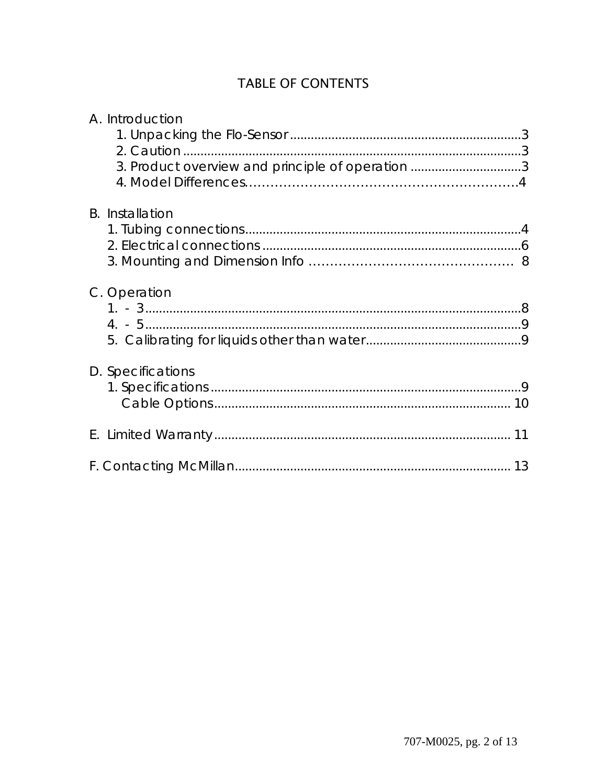# **TABLE OF CONTENTS**

| A. Introduction                                  |  |
|--------------------------------------------------|--|
| 3. Product overview and principle of operation 3 |  |
| <b>B.</b> Installation                           |  |
| C. Operation                                     |  |
|                                                  |  |
| D. Specifications                                |  |
|                                                  |  |
|                                                  |  |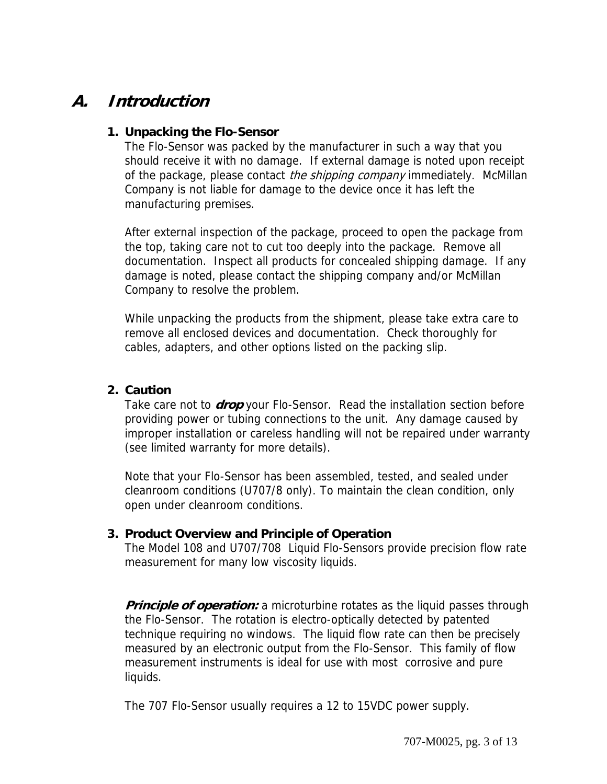# **A. Introduction**

### **1. Unpacking the Flo-Sensor**

The Flo-Sensor was packed by the manufacturer in such a way that you should receive it with no damage. If external damage is noted upon receipt of the package, please contact the shipping company immediately. McMillan Company is not liable for damage to the device once it has left the manufacturing premises.

After external inspection of the package, proceed to open the package from the top, taking care not to cut too deeply into the package. Remove all documentation. Inspect all products for concealed shipping damage. If any damage is noted, please contact the shipping company and/or McMillan Company to resolve the problem.

While unpacking the products from the shipment, please take extra care to remove all enclosed devices and documentation. Check thoroughly for cables, adapters, and other options listed on the packing slip.

## **2. Caution**

Take care not to **drop** your Flo-Sensor. Read the installation section before providing power or tubing connections to the unit. Any damage caused by improper installation or careless handling will not be repaired under warranty (see limited warranty for more details).

Note that your Flo-Sensor has been assembled, tested, and sealed under cleanroom conditions (U707/8 only). To maintain the clean condition, only open under cleanroom conditions.

## **3. Product Overview and Principle of Operation**

The Model 108 and U707/708 Liquid Flo-Sensors provide precision flow rate measurement for many low viscosity liquids.

**Principle of operation:** a microturbine rotates as the liquid passes through the Flo-Sensor. The rotation is electro-optically detected by patented technique requiring no windows. The liquid flow rate can then be precisely measured by an electronic output from the Flo-Sensor. This family of flow measurement instruments is ideal for use with most corrosive and pure liquids.

The 707 Flo-Sensor usually requires a 12 to 15VDC power supply.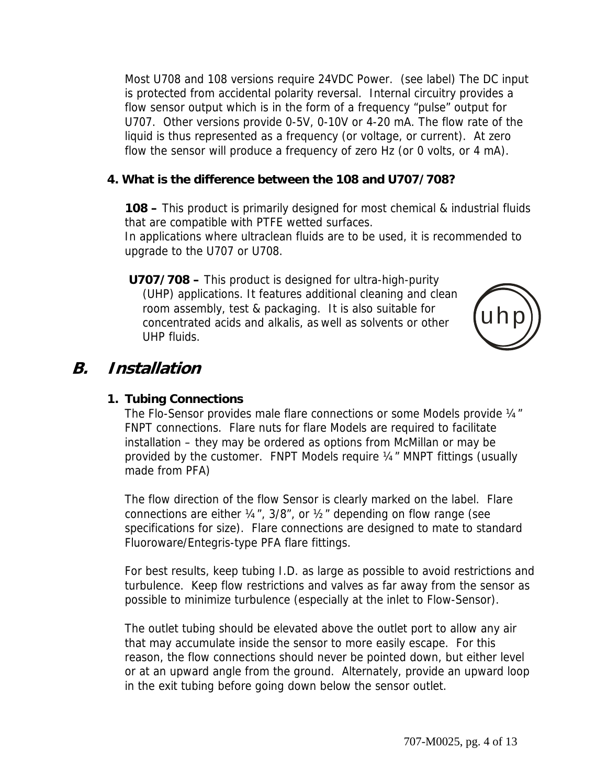Most U708 and 108 versions require 24VDC Power. (see label) The DC input is protected from accidental polarity reversal. Internal circuitry provides a flow sensor output which is in the form of a frequency "pulse" output for U707. Other versions provide 0-5V, 0-10V or 4-20 mA. The flow rate of the liquid is thus represented as a frequency (or voltage, or current). At zero flow the sensor will produce a frequency of zero Hz (or 0 volts, or 4 mA).

## **4. What is the difference between the 108 and U707/708?**

**108 –** This product is primarily designed for most chemical & industrial fluids that are compatible with PTFE wetted surfaces.

In applications where ultraclean fluids are to be used, it is recommended to upgrade to the U707 or U708.

**U707/708 –** This product is designed for ultra-high-purity (UHP) applications. It features additional cleaning and clean room assembly, test & packaging. It is also suitable for concentrated acids and alkalis, as well as solvents or other UHP fluids.



# **B. Installation**

### **1. Tubing Connections**

The Flo-Sensor provides male flare connections or some Models provide 1/4" FNPT connections. Flare nuts for flare Models are required to facilitate installation – they may be ordered as options from McMillan or may be provided by the customer. FNPT Models require ¼" MNPT fittings (usually made from PFA)

The flow direction of the flow Sensor is clearly marked on the label. Flare connections are either ¼", 3/8", or ½" depending on flow range (see specifications for size). Flare connections are designed to mate to standard Fluoroware/Entegris-type PFA flare fittings.

For best results, keep tubing I.D. as large as possible to avoid restrictions and turbulence. Keep flow restrictions and valves as far away from the sensor as possible to minimize turbulence (especially at the inlet to Flow-Sensor).

The outlet tubing should be elevated above the outlet port to allow any air that may accumulate inside the sensor to more easily escape. For this reason, the flow connections should never be pointed down, but either level or at an upward angle from the ground. Alternately, provide an upward loop in the exit tubing before going down below the sensor outlet.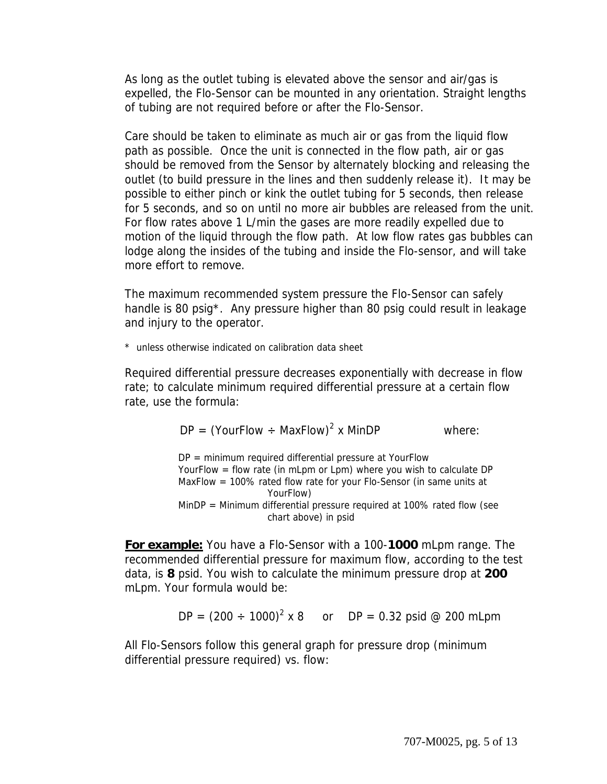As long as the outlet tubing is elevated above the sensor and air/gas is expelled, the Flo-Sensor can be mounted in any orientation. Straight lengths of tubing are not required before or after the Flo-Sensor.

Care should be taken to eliminate as much air or gas from the liquid flow path as possible. Once the unit is connected in the flow path, air or gas should be removed from the Sensor by alternately blocking and releasing the outlet (to build pressure in the lines and then suddenly release it). It may be possible to either pinch or kink the outlet tubing for 5 seconds, then release for 5 seconds, and so on until no more air bubbles are released from the unit. For flow rates above 1 L/min the gases are more readily expelled due to motion of the liquid through the flow path. At low flow rates gas bubbles can lodge along the insides of the tubing and inside the Flo-sensor, and will take more effort to remove.

The maximum recommended system pressure the Flo-Sensor can safely handle is 80 psig<sup>\*</sup>. Any pressure higher than 80 psig could result in leakage and injury to the operator.

\* unless otherwise indicated on calibration data sheet

Required differential pressure decreases exponentially with decrease in flow rate; to calculate minimum required differential pressure at a certain flow rate, use the formula:

$$
DP = (YourFlow \div MaxFlow)^2 \times MinDP
$$
 where:

DP = minimum required differential pressure at YourFlow YourFlow = flow rate (in mLpm or Lpm) where you wish to calculate DP MaxFlow = 100% rated flow rate for your Flo-Sensor (in same units at YourFlow) MinDP = Minimum differential pressure required at 100% rated flow (see chart above) in psid

**For example:** You have a Flo-Sensor with a 100-**1000** mLpm range. The recommended differential pressure for maximum flow, according to the test data, is **8** psid. You wish to calculate the minimum pressure drop at **200** mLpm. Your formula would be:

 $DP = (200 \div 1000)^2 \times 8$  or  $DP = 0.32$  psid @ 200 mLpm

All Flo-Sensors follow this general graph for pressure drop (minimum differential pressure required) vs. flow: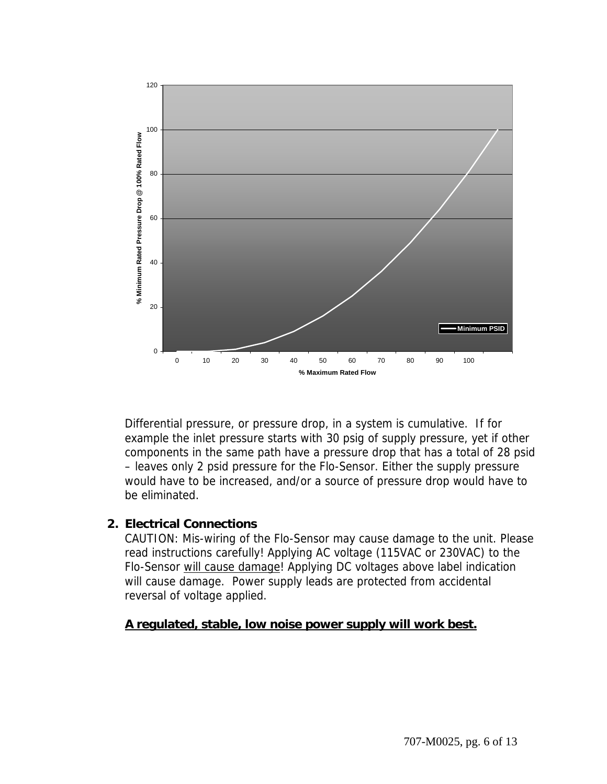

Differential pressure, or pressure drop, in a system is cumulative. If for example the inlet pressure starts with 30 psig of supply pressure, yet if other components in the same path have a pressure drop that has a total of 28 psid – leaves only 2 psid pressure for the Flo-Sensor. Either the supply pressure would have to be increased, and/or a source of pressure drop would have to be eliminated.

### **2. Electrical Connections**

CAUTION: Mis-wiring of the Flo-Sensor may cause damage to the unit. Please read instructions carefully! Applying AC voltage (115VAC or 230VAC) to the Flo-Sensor will cause damage! Applying DC voltages above label indication will cause damage. Power supply leads are protected from accidental reversal of voltage applied.

## **A regulated, stable, low noise power supply will work best.**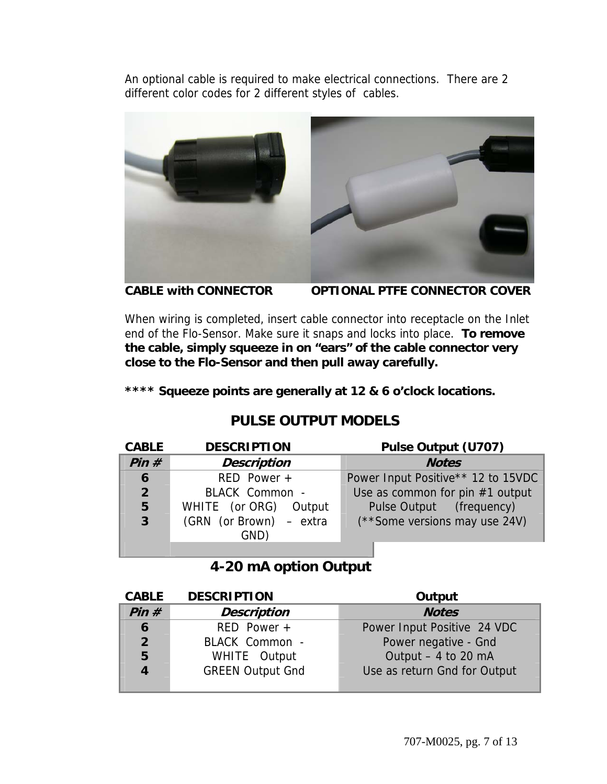An optional cable is required to make electrical connections. There are 2 different color codes for 2 different styles of cables.



**CABLE with CONNECTOR OPTIONAL PTFE CONNECTOR COVER** 

When wiring is completed, insert cable connector into receptacle on the Inlet end of the Flo-Sensor. Make sure it snaps and locks into place. **To remove the cable, simply squeeze in on "ears" of the cable connector very close to the Flo-Sensor and then pull away carefully.** 

**\*\*\*\* Squeeze points are generally at 12 & 6 o'clock locations.** 

# **PULSE OUTPUT MODELS**

| <b>CABLE</b>   | <b>DESCRIPTION</b>      | Pulse Output (U707)                |
|----------------|-------------------------|------------------------------------|
| Pin#           | <b>Description</b>      | <b>Notes</b>                       |
| 6              | $RED$ Power +           | Power Input Positive** 12 to 15VDC |
| 2 <sup>1</sup> | BLACK Common -          | Use as common for pin $#1$ output  |
| 5              | WHITE (or ORG) Output   | Pulse Output (frequency)           |
| $\overline{3}$ | (GRN (or Brown) - extra | (**Some versions may use 24V)      |
|                | GND)                    |                                    |
|                |                         |                                    |

 **4-20 mA option Output**

| <b>CABLE</b>   | <b>DESCRIPTION</b>      | Output                       |
|----------------|-------------------------|------------------------------|
| Pin#           | <b>Description</b>      | <b>Notes</b>                 |
| 6              | $RED$ Power +           | Power Input Positive 24 VDC  |
| 2 <sup>1</sup> | BLACK Common -          | Power negative - Gnd         |
| 5              | WHITE Output            | Output $-4$ to 20 mA         |
| $\overline{4}$ | <b>GREEN Output Gnd</b> | Use as return Gnd for Output |
|                |                         |                              |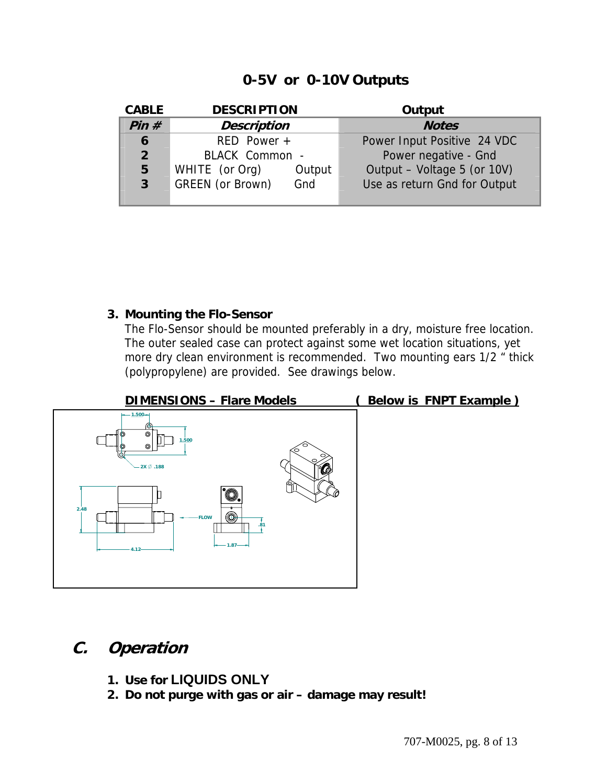## **0-5V or 0-10V Outputs**

| <b>CABLE</b>   | <b>DESCRIPTION</b> |        | Output                       |
|----------------|--------------------|--------|------------------------------|
| Pin#           | <b>Description</b> |        | <b>Notes</b>                 |
| 6              | $RED$ Power $+$    |        | Power Input Positive 24 VDC  |
| 2 <sup>2</sup> | BLACK Common -     |        | Power negative - Gnd         |
| 5              | WHITE (or Org)     | Output | Output - Voltage 5 (or 10V)  |
| $\overline{3}$ | GREEN (or Brown)   | Gnd    | Use as return Gnd for Output |
|                |                    |        |                              |

## **3. Mounting the Flo-Sensor**

The Flo-Sensor should be mounted preferably in a dry, moisture free location. The outer sealed case can protect against some wet location situations, yet more dry clean environment is recommended. Two mounting ears 1/2 " thick (polypropylene) are provided. See drawings below.



# **C. Operation**

- **1. Use for LIQUIDS ONLY**
- **2. Do not purge with gas or air damage may result!**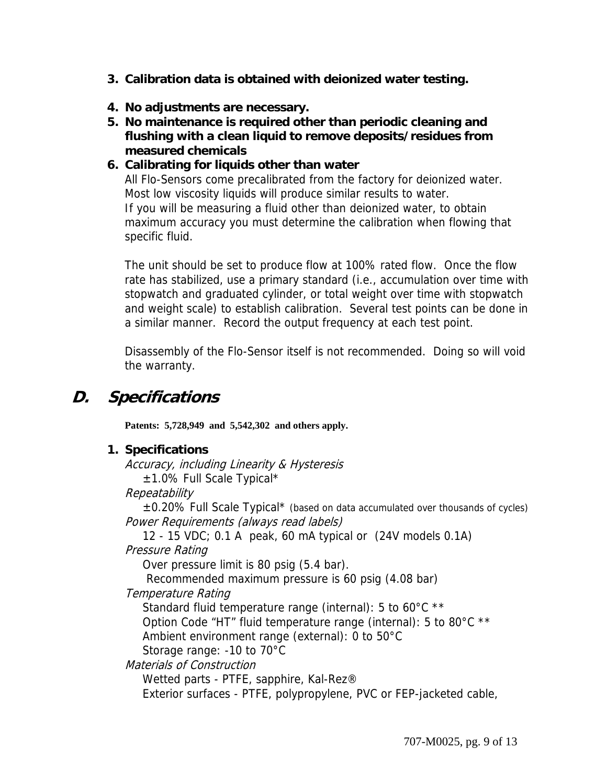- **3. Calibration data is obtained with deionized water testing.**
- **4. No adjustments are necessary.**
- **5. No maintenance is required other than periodic cleaning and flushing with a clean liquid to remove deposits/residues from measured chemicals**

## **6. Calibrating for liquids other than water**

All Flo-Sensors come precalibrated from the factory for deionized water. Most low viscosity liquids will produce similar results to water. If you will be measuring a fluid other than deionized water, to obtain maximum accuracy you must determine the calibration when flowing that specific fluid.

The unit should be set to produce flow at 100% rated flow. Once the flow rate has stabilized, use a primary standard (i.e., accumulation over time with stopwatch and graduated cylinder, or total weight over time with stopwatch and weight scale) to establish calibration. Several test points can be done in a similar manner. Record the output frequency at each test point.

Disassembly of the Flo-Sensor itself is not recommended. Doing so will void the warranty.

# **D. Specifications**

**Patents: 5,728,949 and 5,542,302 and others apply.** 

### **1. Specifications**

Accuracy, including Linearity & Hysteresis ±1.0% Full Scale Typical\*

**Repeatability** 

 $\pm 0.20\%$  Full Scale Typical\* (based on data accumulated over thousands of cycles) Power Requirements (always read labels)

 12 - 15 VDC; 0.1 A peak, 60 mA typical or (24V models 0.1A) Pressure Rating

Over pressure limit is 80 psig (5.4 bar).

Recommended maximum pressure is 60 psig (4.08 bar)

### Temperature Rating

Standard fluid temperature range (internal): 5 to 60°C \*\*

Option Code "HT" fluid temperature range (internal): 5 to 80°C \*\*

Ambient environment range (external): 0 to 50°C

Storage range: -10 to 70°C

Materials of Construction

Wetted parts - PTFE, sapphire, Kal-Rez®

Exterior surfaces - PTFE, polypropylene, PVC or FEP-jacketed cable,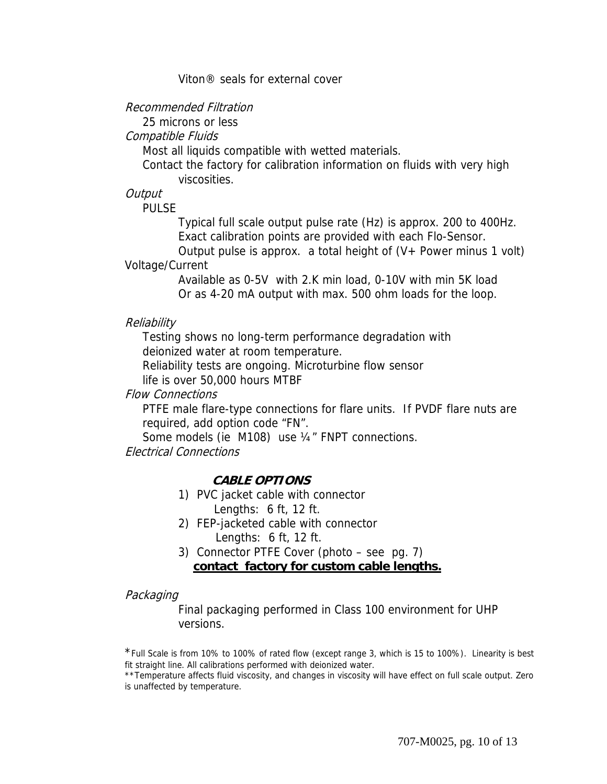#### Viton® seals for external cover

### Recommended Filtration

25 microns or less

### Compatible Fluids

Most all liquids compatible with wetted materials.

 Contact the factory for calibration information on fluids with very high viscosities.

### **Output**

PULSE

 Typical full scale output pulse rate (Hz) is approx. 200 to 400Hz. Exact calibration points are provided with each Flo-Sensor.

Output pulse is approx. a total height of  $(V+$  Power minus 1 volt) Voltage/Current

> Available as 0-5V with 2.K min load, 0-10V with min 5K load Or as 4-20 mA output with max. 500 ohm loads for the loop.

#### Reliability

 Testing shows no long-term performance degradation with deionized water at room temperature.

Reliability tests are ongoing. Microturbine flow sensor

life is over 50,000 hours MTBF

### Flow Connections

PTFE male flare-type connections for flare units. If PVDF flare nuts are required, add option code "FN".

Some models (ie M108) use ¼" FNPT connections.

Electrical Connections

## **CABLE OPTIONS**

- 1) PVC jacket cable with connector Lengths: 6 ft, 12 ft.
- 2) FEP-jacketed cable with connector Lengths: 6 ft, 12 ft.
- 3) Connector PTFE Cover (photo see pg. 7) **contact factory for custom cable lengths.**

### Packaging

Final packaging performed in Class 100 environment for UHP versions.

\*Full Scale is from 10% to 100% of rated flow (except range 3, which is 15 to 100%). Linearity is best fit straight line. All calibrations performed with deionized water.

\*\*Temperature affects fluid viscosity, and changes in viscosity will have effect on full scale output. Zero is unaffected by temperature.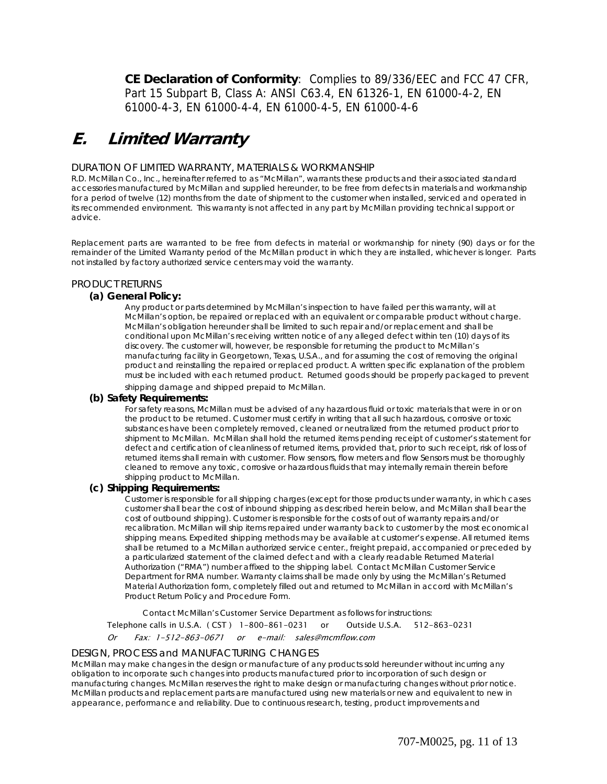**CE Declaration of Conformity**: Complies to 89/336/EEC and FCC 47 CFR, Part 15 Subpart B, Class A: ANSI C63.4, EN 61326-1, EN 61000-4-2, EN 61000-4-3, EN 61000-4-4, EN 61000-4-5, EN 61000-4-6

# **E. Limited Warranty**

#### DURATION OF LIMITED WARRANTY, MATERIALS & WORKMANSHIP

R.D. McMillan Co., Inc., hereinafter referred to as "McMillan", warrants these products and their associated standard accessories manufactured by McMillan and supplied hereunder, to be free from defects in materials and workmanship for a period of twelve (12) months from the date of shipment to the customer when installed, serviced and operated in its recommended environment. This warranty is not affected in any part by McMillan providing technical support or advice.

Replacement parts are warranted to be free from defects in material or workmanship for ninety (90) days or for the remainder of the Limited Warranty period of the McMillan product in which they are installed, whichever is longer. Parts not installed by factory authorized service centers may void the warranty.

#### PRODUCT RETURNS

#### **(a) General Policy:**

Any product or parts determined by McMillan's inspection to have failed per this warranty, will at McMillan's option, be repaired or replaced with an equivalent or comparable product without charge. McMillan's obligation hereunder shall be limited to such repair and/or replacement and shall be conditional upon McMillan's receiving written notice of any alleged defect within ten (10) days of its discovery. The customer will, however, be responsible for returning the product to McMillan's manufacturing facility in Georgetown, Texas, U.S.A., and for assuming the cost of removing the original product and reinstalling the repaired or replaced product. A written specific explanation of the problem must be included with each returned product. Returned goods should be properly packaged to prevent

shipping damage and shipped prepaid to McMillan.

#### **(b) Safety Requirements:**

For safety reasons, McMillan must be advised of any hazardous fluid or toxic materials that were in or on the product to be returned. Customer must certify in writing that all such hazardous, corrosive or toxic substances have been completely removed, cleaned or neutralized from the returned product prior to shipment to McMillan. McMillan shall hold the returned items pending receipt of customer's statement for defect and certification of cleanliness of returned items, provided that, prior to such receipt, risk of loss of returned items shall remain with customer. Flow sensors, flow meters and flow Sensors must be thoroughly cleaned to remove any toxic, corrosive or hazardous fluids that may internally remain therein before shipping product to McMillan.

#### **(c) Shipping Requirements:**

Customer is responsible for all shipping charges (except for those products under warranty, in which cases customer shall bear the cost of inbound shipping as described herein below, and McMillan shall bear the cost of outbound shipping). Customer is responsible for the costs of out of warranty repairs and/or recalibration. McMillan will ship items repaired under warranty back to customer by the most economical shipping means. Expedited shipping methods may be available at customer's expense. All returned items shall be returned to a McMillan authorized service center., freight prepaid, accompanied or preceded by a particularized statement of the claimed defect and with a clearly readable Returned Material Authorization ("RMA") number affixed to the shipping label. Contact McMillan Customer Service Department for RMA number. Warranty claims shall be made only by using the McMillan's Returned Material Authorization form, completely filled out and returned to McMillan in accord with McMillan's Product Return Policy and Procedure Form.

 Contact McMillan's Customer Service Department as follows for instructions: Telephone calls in U.S.A. ( CST ) 1-800-861-0231 or Outside U.S.A. 512-863-0231 Or Fax: 1-512-863-0671 or e-mail: sales@mcmflow.com

#### DESIGN, PROCESS and MANUFACTURING CHANGES

McMillan may make changes in the design or manufacture of any products sold hereunder without incurring any obligation to incorporate such changes into products manufactured prior to incorporation of such design or manufacturing changes. McMillan reserves the right to make design or manufacturing changes without prior notice. McMillan products and replacement parts are manufactured using new materials or new and equivalent to new in appearance, performance and reliability. Due to continuous research, testing, product improvements and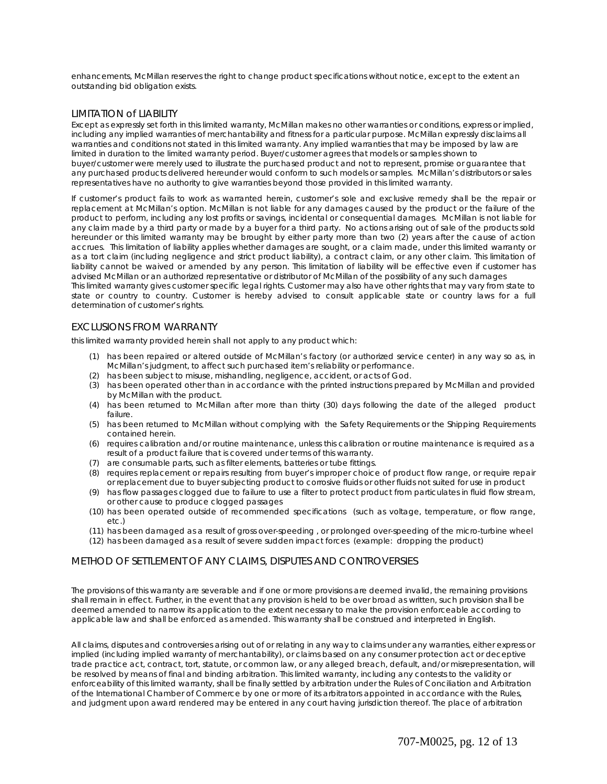enhancements, McMillan reserves the right to change product specifications without notice, except to the extent an outstanding bid obligation exists.

#### LIMITATION of LIABILITY

Except as expressly set forth in this limited warranty, McMillan makes no other warranties or conditions, express or implied, including any implied warranties of merchantability and fitness for a particular purpose. McMillan expressly disclaims all warranties and conditions not stated in this limited warranty. Any implied warranties that may be imposed by law are limited in duration to the limited warranty period. Buyer/customer agrees that models or samples shown to buyer/customer were merely used to illustrate the purchased product and not to represent, promise or guarantee that any purchased products delivered hereunder would conform to such models or samples. McMillan's distributors or sales representatives have no authority to give warranties beyond those provided in this limited warranty.

If customer's product fails to work as warranted herein, customer's sole and exclusive remedy shall be the repair or replacement at McMillan's option. McMillan is not liable for any damages caused by the product or the failure of the product to perform, including any lost profits or savings, incidental or consequential damages. McMillan is not liable for any claim made by a third party or made by a buyer for a third party. No actions arising out of sale of the products sold hereunder or this limited warranty may be brought by either party more than two (2) years after the cause of action accrues. This limitation of liability applies whether damages are sought, or a claim made, under this limited warranty or as a tort claim (including negligence and strict product liability), a contract claim, or any other claim. This limitation of liability cannot be waived or amended by any person. This limitation of liability will be effective even if customer has advised McMillan or an authorized representative or distributor of McMillan of the possibility of any such damages

This limited warranty gives customer specific legal rights. Customer may also have other rights that may vary from state to state or country to country. Customer is hereby advised to consult applicable state or country laws for a full determination of customer's rights.

#### EXCLUSIONS FROM WARRANTY

this limited warranty provided herein shall not apply to any product which:

- (1) has been repaired or altered outside of McMillan's factory (or authorized service center) in any way so as, in McMillan's judgment, to affect such purchased item's reliability or performance.
- (2) has been subject to misuse, mishandling, negligence, accident, or acts of God.
- (3) has been operated other than in accordance with the printed instructions prepared by McMillan and provided by McMillan with the product.
- (4) has been returned to McMillan after more than thirty (30) days following the date of the alleged product failure.
- (5) has been returned to McMillan without complying with the Safety Requirements or the Shipping Requirements contained herein.
- (6) requires calibration and/or routine maintenance, unless this calibration or routine maintenance is required as a result of a product failure that is covered under terms of this warranty.
- (7) are consumable parts, such as filter elements, batteries or tube fittings.
- (8) requires replacement or repairs resulting from buyer's improper choice of product flow range, or require repair or replacement due to buyer subjecting product to corrosive fluids or other fluids not suited for use in product
- (9) has flow passages clogged due to failure to use a filter to protect product from particulates in fluid flow stream, or other cause to produce clogged passages
- (10) has been operated outside of recommended specifications (such as voltage, temperature, or flow range, etc.)
- (11) has been damaged as a result of gross over-speeding , or prolonged over-speeding of the micro-turbine wheel
- (12) has been damaged as a result of severe sudden impact forces (example: dropping the product)

#### METHOD OF SETTLEMENT OF ANY CLAIMS, DISPUTES AND CONTROVERSIES

The provisions of this warranty are severable and if one or more provisions are deemed invalid, the remaining provisions shall remain in effect. Further, in the event that any provision is held to be over broad as written, such provision shall be deemed amended to narrow its application to the extent necessary to make the provision enforceable according to applicable law and shall be enforced as amended. This warranty shall be construed and interpreted in English.

All claims, disputes and controversies arising out of or relating in any way to claims under any warranties, either express or implied (including implied warranty of merchantability), or claims based on any consumer protection act or deceptive trade practice act, contract, tort, statute, or common law, or any alleged breach, default, and/or misrepresentation, will be resolved by means of final and binding arbitration. This limited warranty, including any contests to the validity or enforceability of this limited warranty, shall be finally settled by arbitration under the Rules of Conciliation and Arbitration of the International Chamber of Commerce by one or more of its arbitrators appointed in accordance with the Rules, and judgment upon award rendered may be entered in any court having jurisdiction thereof. The place of arbitration